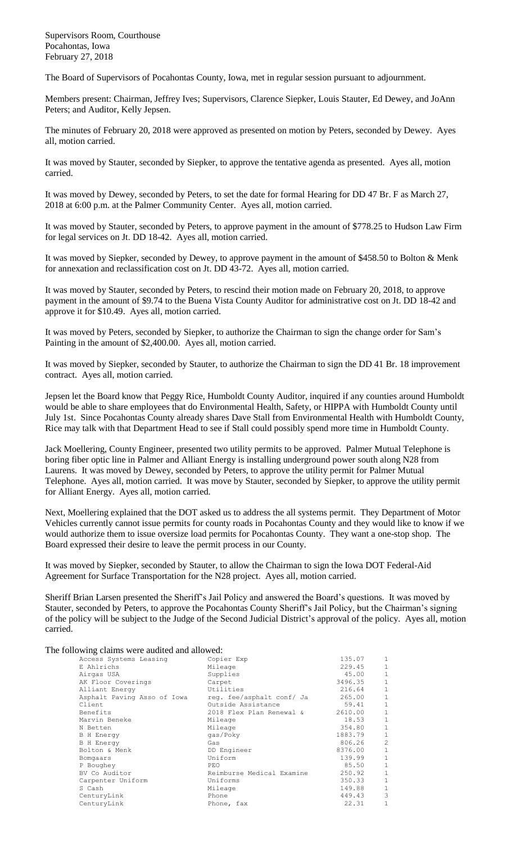Supervisors Room, Courthouse Pocahontas, Iowa February 27, 2018

The Board of Supervisors of Pocahontas County, Iowa, met in regular session pursuant to adjournment.

Members present: Chairman, Jeffrey Ives; Supervisors, Clarence Siepker, Louis Stauter, Ed Dewey, and JoAnn Peters; and Auditor, Kelly Jepsen.

The minutes of February 20, 2018 were approved as presented on motion by Peters, seconded by Dewey. Ayes all, motion carried.

It was moved by Stauter, seconded by Siepker, to approve the tentative agenda as presented. Ayes all, motion carried.

It was moved by Dewey, seconded by Peters, to set the date for formal Hearing for DD 47 Br. F as March 27, 2018 at 6:00 p.m. at the Palmer Community Center. Ayes all, motion carried.

It was moved by Stauter, seconded by Peters, to approve payment in the amount of \$778.25 to Hudson Law Firm for legal services on Jt. DD 18-42. Ayes all, motion carried.

It was moved by Siepker, seconded by Dewey, to approve payment in the amount of \$458.50 to Bolton & Menk for annexation and reclassification cost on Jt. DD 43-72. Ayes all, motion carried.

It was moved by Stauter, seconded by Peters, to rescind their motion made on February 20, 2018, to approve payment in the amount of \$9.74 to the Buena Vista County Auditor for administrative cost on Jt. DD 18-42 and approve it for \$10.49. Ayes all, motion carried.

It was moved by Peters, seconded by Siepker, to authorize the Chairman to sign the change order for Sam's Painting in the amount of \$2,400.00. Ayes all, motion carried.

It was moved by Siepker, seconded by Stauter, to authorize the Chairman to sign the DD 41 Br. 18 improvement contract. Ayes all, motion carried.

Jepsen let the Board know that Peggy Rice, Humboldt County Auditor, inquired if any counties around Humboldt would be able to share employees that do Environmental Health, Safety, or HIPPA with Humboldt County until July 1st. Since Pocahontas County already shares Dave Stall from Environmental Health with Humboldt County, Rice may talk with that Department Head to see if Stall could possibly spend more time in Humboldt County.

Jack Moellering, County Engineer, presented two utility permits to be approved. Palmer Mutual Telephone is boring fiber optic line in Palmer and Alliant Energy is installing underground power south along N28 from Laurens. It was moved by Dewey, seconded by Peters, to approve the utility permit for Palmer Mutual Telephone. Ayes all, motion carried. It was move by Stauter, seconded by Siepker, to approve the utility permit for Alliant Energy. Ayes all, motion carried.

Next, Moellering explained that the DOT asked us to address the all systems permit. They Department of Motor Vehicles currently cannot issue permits for county roads in Pocahontas County and they would like to know if we would authorize them to issue oversize load permits for Pocahontas County. They want a one-stop shop. The Board expressed their desire to leave the permit process in our County.

It was moved by Siepker, seconded by Stauter, to allow the Chairman to sign the Iowa DOT Federal-Aid Agreement for Surface Transportation for the N28 project. Ayes all, motion carried.

Sheriff Brian Larsen presented the Sheriff's Jail Policy and answered the Board's questions. It was moved by Stauter, seconded by Peters, to approve the Pocahontas County Sheriff's Jail Policy, but the Chairman's signing of the policy will be subject to the Judge of the Second Judicial District's approval of the policy. Ayes all, motion carried.

The following claims were audited and allowed:

| Access Systems Leasing      | Copier Exp                | 135.07  | 1              |
|-----------------------------|---------------------------|---------|----------------|
| E Ahlrichs                  | Mileage                   | 229.45  | $\mathbf 1$    |
| Airgas USA                  | Supplies                  | 45.00   | $\mathbf{1}$   |
| AK Floor Coverings          | Carpet                    | 3496.35 | $1\,$          |
| Alliant Energy              | Utilities                 | 216.64  | $\mathbf{1}$   |
| Asphalt Paving Asso of Iowa | req. fee/asphalt conf/ Ja | 265.00  | $\mathbf{1}$   |
| Client                      | Outside Assistance        | 59.41   | $\mathbf{1}$   |
| Benefits                    | 2018 Flex Plan Renewal &  | 2610.00 | $1\,$          |
| Marvin Beneke               | Mileage                   | 18.53   | $1\,$          |
| N Betten                    | Mileage                   | 354.80  | $1\,$          |
| <b>B</b> H Energy           | qas/Poky                  | 1883.79 | $\mathbf{1}$   |
| <b>B</b> H Energy           | Gas                       | 806.26  | $\overline{c}$ |
| Bolton & Menk               | DD Engineer               | 8376.00 | $\mathbf{1}$   |
| Bomgaars                    | Uniform                   | 139.99  | $\mathbf{1}$   |
| P Boughey                   | PEO                       | 85.50   | $\mathbf{1}$   |
| BV Co Auditor               | Reimburse Medical Examine | 250.92  | $\mathbf 1$    |
| Carpenter Uniform           | Uniforms                  | 350.33  | $\mathbf 1$    |
| S Cash                      | Mileage                   | 149.88  | $1\,$          |
| CenturyLink                 | Phone                     | 449.43  | 3              |
| CenturyLink                 | Phone, fax                | 22.31   | 1              |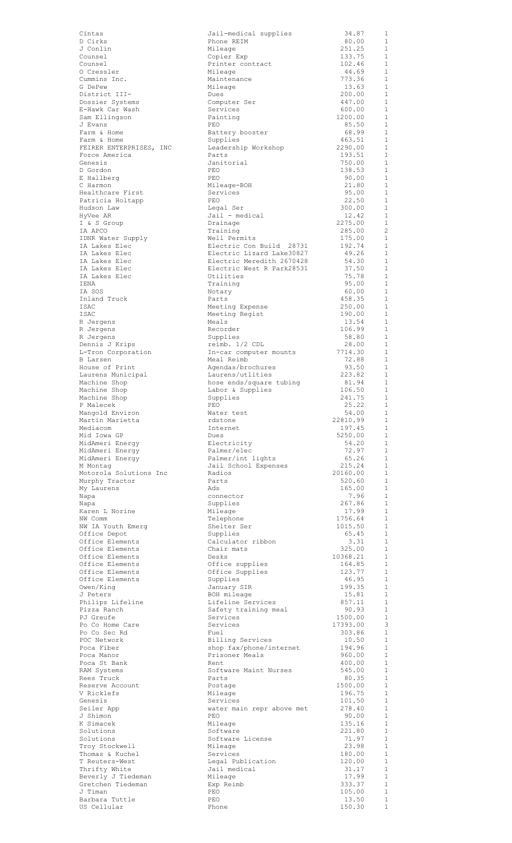| Cintas                                   | Jail-medical supplies                                  | 34.87              | 1                              |
|------------------------------------------|--------------------------------------------------------|--------------------|--------------------------------|
| D Cirks<br>J Conlin                      | Phone REIM<br>Mileage                                  | 80.00<br>251.25    | 1<br>1                         |
| Counsel                                  | Copier Exp                                             | 133.75             | 1                              |
| Counsel<br>0 Cressler                    | Printer contract                                       | 102.46             | 1<br>1                         |
| Cummins Inc.                             | Mileage<br>Maintenance                                 | 44.69<br>773.36    | 1                              |
| G DePew                                  | Mileage                                                | 13.63              | 1                              |
| District III-<br>Dossier Systems         | Dues<br>Computer Ser                                   | 200.00<br>447.00   | $\mathbf{1}$<br>1              |
| E-Hawk Car Wash                          | Services                                               | 600.00             | 1                              |
| Sam Ellingson<br>J Evans                 | Painting<br>PEO                                        | 1200.00<br>85.50   | 1<br>1                         |
| Farm & Home                              | Battery booster                                        | 68.99              | $\mathbf{1}$                   |
| Farm & Home                              | Supplies                                               | 463.51             | $\mathbf{1}$                   |
| FEIRER ENTERPRISES, INC<br>Force America | Leadership Workshop<br>Parts                           | 2290.00<br>193.51  | 1<br>1                         |
| Genesis                                  | Janitorial                                             | 750.00             | 1                              |
| D Gordon<br>E Hallberg                   | PEO<br>PEO                                             | 138.53<br>90.00    | 1<br>1                         |
| C Harmon                                 | Mileage-BOH                                            | 21.80              | $\mathbf{1}$                   |
| Healthcare First                         | Services                                               | 95.00              | $\mathbf{1}$                   |
| Patricia Holtapp<br>Hudson Law           | PEO<br>Legal Ser                                       | 22.50<br>300.00    | $\mathbf{1}$<br>$\mathbf{1}$   |
| HyVee AR                                 | Jail - medical                                         | 12.42              | $\mathbf{1}$                   |
| I & S Group                              | Drainage                                               | 2275.00            | $\mathbf{1}$                   |
| IA APCO<br>IDNR Water Supply             | Training<br>Well Permits                               | 285.00<br>175.00   | $\overline{c}$<br>$\mathbf{1}$ |
| IA Lakes Elec                            | Electric Con Build 28731                               | 192.74             | $\mathbf{1}$                   |
| IA Lakes Elec<br>IA Lakes Elec           | Electric Lizard Lake30827<br>Electric Meredith 2670428 | 49.26<br>54.30     | $\mathbf{1}$<br>$\mathbf{1}$   |
| IA Lakes Elec                            | Electric West R Park28531                              | 37.50              | $\mathbf{1}$                   |
| IA Lakes Elec                            | Utilities                                              | 75.78              | $\mathbf{1}$                   |
| IENA<br>IA SOS                           | Training<br>Notary                                     | 95.00<br>60.00     | $\mathbf{1}$<br>$\mathbf{1}$   |
| Inland Truck                             | Parts                                                  | 458.35             | $\mathbf{1}$                   |
| ISAC                                     | Meeting Expense                                        | 250.00             | $\mathbf{1}$<br>$\mathbf{1}$   |
| ISAC<br>R Jergens                        | Meeting Regist<br>Meals                                | 190.00<br>13.54    | 1                              |
| R Jergens                                | Recorder                                               | 106.99             | 1                              |
| R Jergens                                | Supplies<br>reimb. 1/2 CDL                             | 58.80<br>28.00     | 1<br>1                         |
| Dennis J Krips<br>L-Tron Corporation     | In-car computer mounts                                 | 7714.30            | $\mathbf{1}$                   |
| B Larsen                                 | Meal Reimb                                             | 72.88              | 1                              |
| House of Print<br>Laurens Municipal      | Agendas/brochures<br>Laurens/utlities                  | 93.50<br>223.82    | 1<br>1                         |
| Machine Shop                             | hose ends/square tubing                                | 81.94              | 1                              |
| Machine Shop                             | Labor & Supplies                                       | 106.50             | 1                              |
| Machine Shop<br>P Malecek                | Supplies<br>PEO                                        | 241.75<br>25.22    | 1<br>1                         |
| Mangold Environ                          | Water test                                             | 54.00              | 1                              |
| Martin Marietta<br>Mediacom              | rdstone<br>Internet                                    | 22810.99<br>197.45 | 1<br>$\mathbf{1}$              |
| Mid Iowa GP                              | Dues                                                   | 5250.00            | 1                              |
| MidAmeri Energy                          | Electricity                                            | 54.20              | 1                              |
| MidAmeri Energy<br>MidAmeri Energy       | Palmer/elec<br>Palmer/int lights                       | 72.97<br>65.26     | 1<br>$\mathbf{1}$              |
| M Montag                                 | Jail School Expenses                                   | 215.24             | 1                              |
| Motorola Solutions Inc<br>Murphy Tractor | Radios<br>Parts                                        | 20160.00<br>520.60 | $\mathbf{1}$<br>1              |
| My Laurens                               | Ads                                                    | 165.00             | 1                              |
| Napa                                     | connector                                              | 7.96               | 1<br>$\mathbf{1}$              |
| Napa<br>Karen L Norine                   | Supplies<br>Mileage                                    | 267.86<br>17.99    | 1                              |
| NW Comm                                  | Telephone                                              | 1756.64            | 1                              |
| NW IA Youth Emerg<br>Office Depot        | Shelter Ser<br>Supplies                                | 1015.50<br>65.45   | 1<br>1                         |
| Office Elements                          | Calculator ribbon                                      | 3.31               | $\mathbf{1}$                   |
| Office Elements                          | Chair mats                                             | 325.00             | $\mathbf{1}$<br>$\mathbf{1}$   |
| Office Elements<br>Office Elements       | Desks<br>Office supplies                               | 10368.21<br>164.85 | $\mathbf{1}$                   |
| Office Elements                          | Office Supplies                                        | 123.77             | $\mathbf{1}$                   |
| Office Elements<br>Owen/King             | Supplies<br>January SIR                                | 46.95<br>199.35    | $\mathbf{1}$<br>$\mathbf{1}$   |
| J Peters                                 | BOH mileage                                            | 15.81              | $\mathbf{1}$                   |
| Philips Lifeline                         | Lifeline Services                                      | 857.11<br>90.93    | $\mathbf{1}$<br>$\mathbf{1}$   |
| Pizza Ranch<br>PJ Greufe                 | Safety training meal<br>Services                       | 1500.00            | $\mathbf{1}$                   |
| Po Co Home Care                          | Services                                               | 17393.00           | 3                              |
| Po Co Sec Rd<br>POC Network              | Fuel<br>Billing Services                               | 303.86<br>10.50    | 1<br>$\mathbf{1}$              |
| Poca Fiber                               | shop fax/phone/internet                                | 194.96             | $\mathbf{1}$                   |
| Poca Manor                               | Prisoner Meals                                         | 960.00             | $\mathbf{1}$<br>$\mathbf{1}$   |
| Poca St Bank<br>RAM Systems              | Rent<br>Software Maint Nurses                          | 400.00<br>545.00   | $\mathbf{1}$                   |
| Rees Truck                               | Parts                                                  | 80.35              | 1                              |
| Reserve Account<br>V Ricklefs            | Postage<br>Mileage                                     | 1500.00<br>196.75  | 1<br>1                         |
| Genesis                                  | Services                                               | 101.50             | 1                              |
| Seiler App<br>J Shimon                   | water main repr above met                              | 278.40             | 1<br>1                         |
| K Simacek                                | PEO<br>Mileage                                         | 90.00<br>135.16    | 1                              |
| Solutions                                | Software                                               | 221.80             | 1                              |
| Solutions<br>Troy Stockwell              | Software License<br>Mileage                            | 71.97<br>23.98     | 1<br>$\mathbf{1}$              |
| Thomas & Kuchel                          | Services                                               | 180.00             | 1                              |
| T Reuters-West                           | Legal Publication                                      | 120.00             | 1                              |
| Thrifty White<br>Beverly J Tiedeman      | Jail medical<br>Mileage                                | 31.17<br>17.99     | 1<br>1                         |
| Gretchen Tiedeman                        | Exp Reimb                                              | 333.37             | $1\,$                          |
| J Timan<br>Barbara Tuttle                | PEO<br>PEO                                             | 105.00<br>13.50    | 1<br>1                         |
| US Cellular                              | Phone                                                  | 150.30             | 1                              |